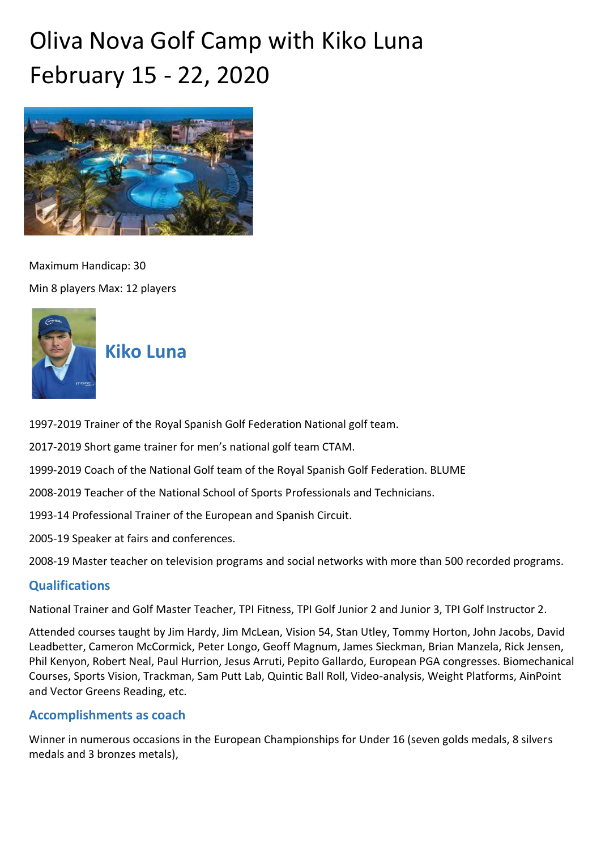# Oliva Nova Golf Camp with Kiko Luna February 15 - 22, 2020



Maximum Handicap: 30 Min 8 players Max: 12 players



## **Kiko Luna**

1997-2019 Trainer of the Royal Spanish Golf Federation National golf team.

2017-2019 Short game trainer for men's national golf team CTAM.

1999-2019 Coach of the National Golf team of the Royal Spanish Golf Federation. BLUME

2008-2019 Teacher of the National School of Sports Professionals and Technicians.

1993-14 Professional Trainer of the European and Spanish Circuit.

2005-19 Speaker at fairs and conferences.

2008-19 Master teacher on television programs and social networks with more than 500 recorded programs.

## **Qualifications**

National Trainer and Golf Master Teacher, TPI Fitness, TPI Golf Junior 2 and Junior 3, TPI Golf Instructor 2.

Attended courses taught by Jim Hardy, Jim McLean, Vision 54, Stan Utley, Tommy Horton, John Jacobs, David Leadbetter, Cameron McCormick, Peter Longo, Geoff Magnum, James Sieckman, Brian Manzela, Rick Jensen, Phil Kenyon, Robert Neal, Paul Hurrion, Jesus Arruti, Pepito Gallardo, European PGA congresses. Biomechanical Courses, Sports Vision, Trackman, Sam Putt Lab, Quintic Ball Roll, Video-analysis, Weight Platforms, AinPoint and Vector Greens Reading, etc.

## **Accomplishments as coach**

Winner in numerous occasions in the European Championships for Under 16 (seven golds medals, 8 silvers medals and 3 bronzes metals),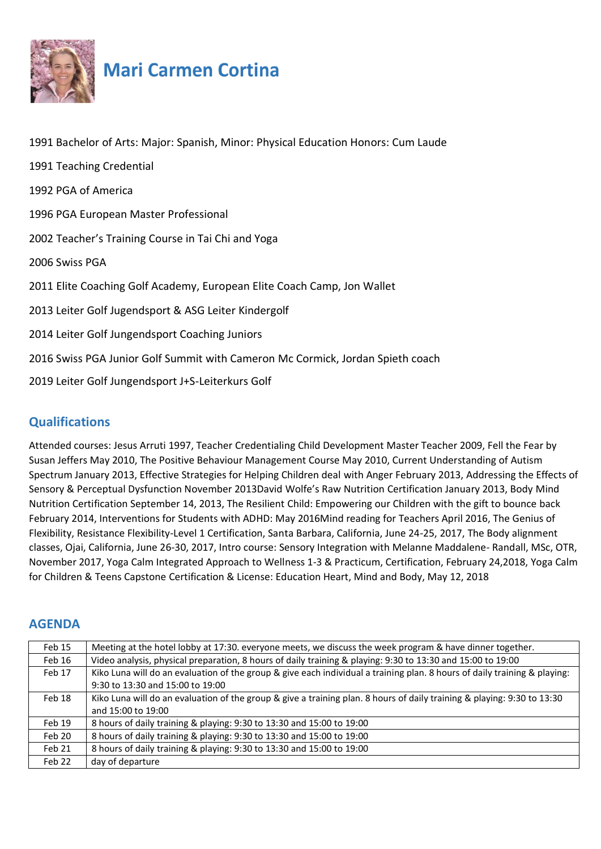

## **Mari Carmen Cortina**

| 1991 Bachelor of Arts: Major: Spanish, Minor: Physical Education Honors: Cum Laude |
|------------------------------------------------------------------------------------|
| 1991 Teaching Credential                                                           |
| 1992 PGA of America                                                                |
| 1996 PGA European Master Professional                                              |
| 2002 Teacher's Training Course in Tai Chi and Yoga                                 |
| 2006 Swiss PGA                                                                     |
| 2011 Elite Coaching Golf Academy, European Elite Coach Camp, Jon Wallet            |
| 2013 Leiter Golf Jugendsport & ASG Leiter Kindergolf                               |
| 2014 Leiter Golf Jungendsport Coaching Juniors                                     |
| 2016 Swiss PGA Junior Golf Summit with Cameron Mc Cormick, Jordan Spieth coach     |
| 2019 Leiter Golf Jungendsport J+S-Leiterkurs Golf                                  |

## **Qualifications**

Attended courses: Jesus Arruti 1997, Teacher Credentialing Child Development Master Teacher 2009, Fell the Fear by Susan Jeffers May 2010, The Positive Behaviour Management Course May 2010, Current Understanding of Autism Spectrum January 2013, Effective Strategies for Helping Children deal with Anger February 2013, Addressing the Effects of Sensory & Perceptual Dysfunction November 2013David Wolfe's Raw Nutrition Certification January 2013, Body Mind Nutrition Certification September 14, 2013, The Resilient Child: Empowering our Children with the gift to bounce back February 2014, Interventions for Students with ADHD: May 2016Mind reading for Teachers April 2016, The Genius of Flexibility, Resistance Flexibility-Level 1 Certification, Santa Barbara, California, June 24-25, 2017, The Body alignment classes, Ojai, California, June 26-30, 2017, Intro course: Sensory Integration with Melanne Maddalene- Randall, MSc, OTR, November 2017, Yoga Calm Integrated Approach to Wellness 1-3 & Practicum, Certification, February 24,2018, Yoga Calm for Children & Teens Capstone Certification & License: Education Heart, Mind and Body, May 12, 2018

## **AGENDA**

| Feb 15 | Meeting at the hotel lobby at 17:30. everyone meets, we discuss the week program & have dinner together.                  |
|--------|---------------------------------------------------------------------------------------------------------------------------|
| Feb 16 | Video analysis, physical preparation, 8 hours of daily training & playing: 9:30 to 13:30 and 15:00 to 19:00               |
| Feb 17 | Kiko Luna will do an evaluation of the group & give each individual a training plan. 8 hours of daily training & playing: |
|        | 9:30 to 13:30 and 15:00 to 19:00                                                                                          |
| Feb 18 | Kiko Luna will do an evaluation of the group & give a training plan. 8 hours of daily training & playing: 9:30 to 13:30   |
|        | and 15:00 to 19:00                                                                                                        |
| Feb 19 | 8 hours of daily training & playing: 9:30 to 13:30 and 15:00 to 19:00                                                     |
| Feb 20 | 8 hours of daily training & playing: 9:30 to 13:30 and 15:00 to 19:00                                                     |
| Feb 21 | 8 hours of daily training & playing: 9:30 to 13:30 and 15:00 to 19:00                                                     |
| Feb 22 | day of departure                                                                                                          |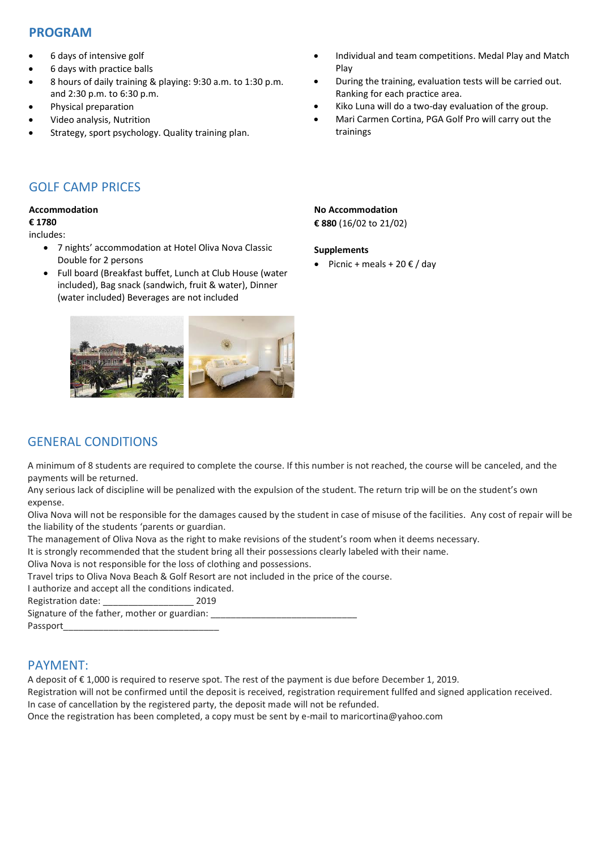## **PROGRAM**

- 6 days of intensive golf
- 6 days with practice balls
- 8 hours of daily training & playing: 9:30 a.m. to 1:30 p.m. and 2:30 p.m. to 6:30 p.m.
- Physical preparation
- Video analysis, Nutrition
- Strategy, sport psychology. Quality training plan.
- Individual and team competitions. Medal Play and Match Play
- During the training, evaluation tests will be carried out. Ranking for each practice area.
- Kiko Luna will do a two-day evaluation of the group.
- Mari Carmen Cortina, PGA Golf Pro will carry out the trainings

## GOLF CAMP PRICES

#### **Accommodation**

#### **€ 1780**

#### includes:

- 7 nights' accommodation at Hotel Oliva Nova Classic Double for 2 persons
- Full board (Breakfast buffet, Lunch at Club House (water included), Bag snack (sandwich, fruit & water), Dinner (water included) Beverages are not included



## **No Accommodation**

**€ 880** (16/02 to 21/02)

#### **Supplements**

• Picnic + meals + 20  $\epsilon$  / day

## GENERAL CONDITIONS

A minimum of 8 students are required to complete the course. If this number is not reached, the course will be canceled, and the payments will be returned.

Any serious lack of discipline will be penalized with the expulsion of the student. The return trip will be on the student's own expense.

Oliva Nova will not be responsible for the damages caused by the student in case of misuse of the facilities. Any cost of repair will be the liability of the students 'parents or guardian.

The management of Oliva Nova as the right to make revisions of the student's room when it deems necessary.

It is strongly recommended that the student bring all their possessions clearly labeled with their name.

Oliva Nova is not responsible for the loss of clothing and possessions.

Travel trips to Oliva Nova Beach & Golf Resort are not included in the price of the course.

I authorize and accept all the conditions indicated.

Registration date: \_\_\_\_\_\_\_\_\_\_\_\_\_\_\_\_\_\_ 2019

Signature of the father, mother or guardian:

Passport

## PAYMENT:

A deposit of € 1,000 is required to reserve spot. The rest of the payment is due before December 1, 2019.

Registration will not be confirmed until the deposit is received, registration requirement fullfed and signed application received. In case of cancellation by the registered party, the deposit made will not be refunded.

Once the registration has been completed, a copy must be sent by e-mail to maricortina@yahoo.com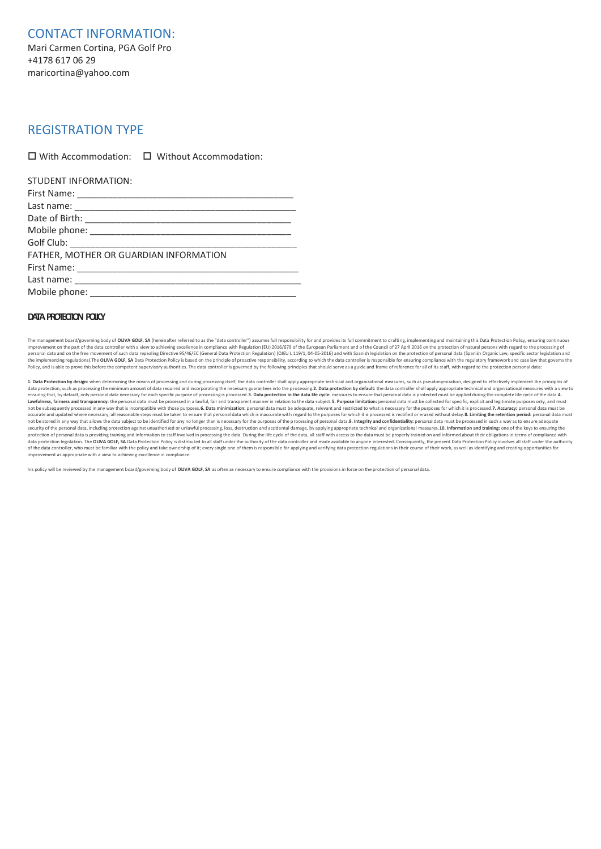CONTACT INFORMATION: Mari Carmen Cortina, PGA Golf Pro +4178 617 06 29 maricortina@yahoo.com

### REGISTRATION TYPE

 $\Box$  With Accommodation:  $\Box$  Without Accommodation:

| STUDENT INFORMATION:                   |
|----------------------------------------|
|                                        |
|                                        |
|                                        |
|                                        |
|                                        |
| FATHER, MOTHER OR GUARDIAN INFORMATION |
|                                        |
|                                        |
|                                        |

#### **DATA PROTECTION POLICY**

The management board/governing body of OLIVA GOLF. SA (hereinafter referred to as the "data controller") assumes full responsibility for and provides its full commitment to drafting, implementing and maintaining this Data improvement on the part of the data controller with a view to achieving excellence in compliance with Regulation (EU) 2016/679 of the European Parliament and of the Council of 27 April 2016 on the protection of natural per the implementing regulations). The OLIVA GOLF, SA Data Protection Policy is based on the principle of proactive responsibility, according to which the data controller is responsible for ensuring compliance with the regulat Policy, and is able to prove this before the competent supervisory authorities. The data controller is governed by the following principles that should serve as a guide and frame of reference for all of its staff, with reg

1. Data Protection by design: when determining the means of processing and during processing itself, the data controller shall apply appropriate technical and organizational measures, such as pseudonymization, designed to data protection, such as processing the minimum amount of data required and incorporating the necessary guarantees into the processing. 2. Data protection by default: the data controller shall apply appropriate technical a ensuring that, by default, only personal data necessary for each specific purpose of processing is processed.**3. Data protection in the data life cycle**: measures to ensure that personal data is protected must be applied d accurate and updated where necessary; all reasonable steps must be taken to ensure that personal data which is inaccurate with regard to the purposes for which it is processed is rectified or erased without delay.**8. Limit** security of the personal data, including protection against unauthorized or unlawful processing, loss, destruction and accidental damage, by applying appropriate technical and organizational measures.**10. Information and t** of the data controller, who must be familiar with the policy and take ownership of it; every single one of them is responsible for applying and verifying data protection regulations in their course of their work, as well a improvement as appropriate with a view to achieving excellence in compliance.

his policy will be reviewed by the management board/governing body of **OLIVA GOLF, SA** as often as necessary to ensure compliance with the provisions in force on the protection of personal data.